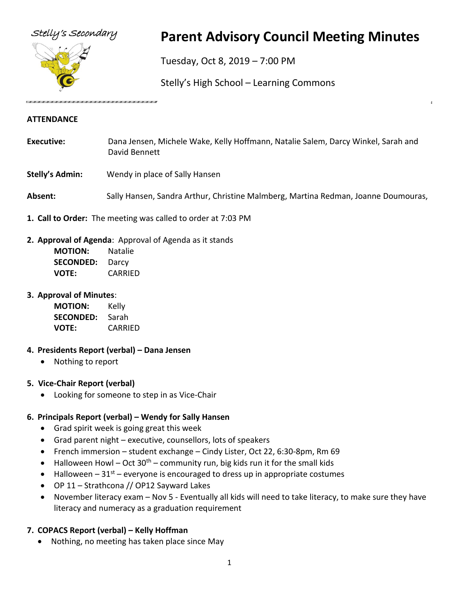

# Stelly's Secondary **Parent Advisory Council Meeting Minutes**

Tuesday, Oct 8, 2019 – 7:00 PM

Stelly's High School – Learning Commons

#### **ATTENDANCE**

- **Executive:** Dana Jensen, Michele Wake, Kelly Hoffmann, Natalie Salem, Darcy Winkel, Sarah and David Bennett
- **Stelly's Admin:** Wendy in place of Sally Hansen
- **Absent:** Sally Hansen, Sandra Arthur, Christine Malmberg, Martina Redman, Joanne Doumouras,
- **1. Call to Order:** The meeting was called to order at 7:03 PM
- **2. Approval of Agenda**: Approval of Agenda as it stands
	- **MOTION:** Natalie **SECONDED:** Darcy **VOTE:** CARRIED

#### **3. Approval of Minutes**:

**MOTION:** Kelly **SECONDED:** Sarah **VOTE:** CARRIED

#### **4. Presidents Report (verbal) – Dana Jensen**

• Nothing to report

## **5. Vice-Chair Report (verbal)**

• Looking for someone to step in as Vice-Chair

## **6. Principals Report (verbal) – Wendy for Sally Hansen**

- Grad spirit week is going great this week
- Grad parent night executive, counsellors, lots of speakers
- French immersion student exchange Cindy Lister, Oct 22, 6:30-8pm, Rm 69
- Halloween Howl Oct  $30<sup>th</sup>$  community run, big kids run it for the small kids
- Halloween  $-31<sup>st</sup>$  everyone is encouraged to dress up in appropriate costumes
- OP 11 Strathcona // OP12 Sayward Lakes
- November literacy exam Nov 5 Eventually all kids will need to take literacy, to make sure they have literacy and numeracy as a graduation requirement

## **7. COPACS Report (verbal) – Kelly Hoffman**

• Nothing, no meeting has taken place since May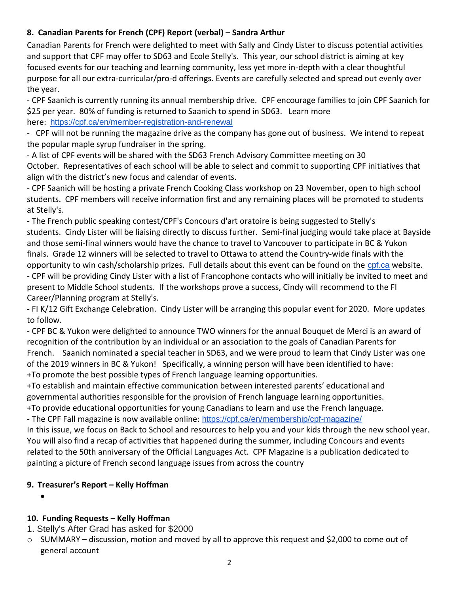## **8. Canadian Parents for French (CPF) Report (verbal) – Sandra Arthur**

Canadian Parents for French were delighted to meet with Sally and Cindy Lister to discuss potential activities and support that CPF may offer to SD63 and Ecole Stelly's. This year, our school district is aiming at key focused events for our teaching and learning community, less yet more in-depth with a clear thoughtful purpose for all our extra-curricular/pro-d offerings. Events are carefully selected and spread out evenly over the year.

- CPF Saanich is currently running its annual membership drive. CPF encourage families to join CPF Saanich for \$25 per year. 80% of funding is returned to Saanich to spend in SD63. Learn more here: <https://cpf.ca/en/member-registration-and-renewal>

- CPF will not be running the magazine drive as the company has gone out of business. We intend to repeat the popular maple syrup fundraiser in the spring.

- A list of CPF events will be shared with the SD63 French Advisory Committee meeting on 30 October. Representatives of each school will be able to select and commit to supporting CPF initiatives that align with the district's new focus and calendar of events.

- CPF Saanich will be hosting a private French Cooking Class workshop on 23 November, open to high school students. CPF members will receive information first and any remaining places will be promoted to students at Stelly's.

- The French public speaking contest/CPF's Concours d'art oratoire is being suggested to Stelly's students. Cindy Lister will be liaising directly to discuss further. Semi-final judging would take place at Bayside and those semi-final winners would have the chance to travel to Vancouver to participate in BC & Yukon finals. Grade 12 winners will be selected to travel to Ottawa to attend the Country-wide finals with the opportunity to win cash/scholarship prizes. Full details about this event can be found on the [cpf.ca](http://cpf.ca/) website. - CPF will be providing Cindy Lister with a list of Francophone contacts who will initially be invited to meet and present to Middle School students. If the workshops prove a success, Cindy will recommend to the FI

Career/Planning program at Stelly's.

- FI K/12 Gift Exchange Celebration. Cindy Lister will be arranging this popular event for 2020. More updates to follow.

- CPF BC & Yukon were delighted to announce TWO winners for the annual Bouquet de Merci is an award of recognition of the contribution by an individual or an association to the goals of Canadian Parents for French. Saanich nominated a special teacher in SD63, and we were proud to learn that Cindy Lister was one of the 2019 winners in BC & Yukon! Specifically, a winning person will have been identified to have: +To promote the best possible types of French language learning opportunities.

+To establish and maintain effective communication between interested parents' educational and governmental authorities responsible for the provision of French language learning opportunities. +To provide educational opportunities for young Canadians to learn and use the French language.

- The CPF Fall magazine is now available online: [https://cpf.ca/en/membership/cpf-magazine/](https://cpf.ca/en/membership/cpf-magazine/?fbclid=IwAR3-oZ3oGqSDbk5i2_pITclo-HHEibFrUzTrAa--H8UWDVTOCkNtmMUDcLQ)

In this issue, we focus on Back to School and resources to help you and your kids through the new school year. You will also find a recap of activities that happened during the summer, including Concours and events related to the 50th anniversary of the Official Languages Act. CPF Magazine is a publication dedicated to painting a picture of French second language issues from across the country

## **9. Treasurer's Report – Kelly Hoffman**

•

## **10. Funding Requests – Kelly Hoffman**

- 1. Stelly's After Grad has asked for \$2000
- $\circ$  SUMMARY discussion, motion and moved by all to approve this request and \$2,000 to come out of general account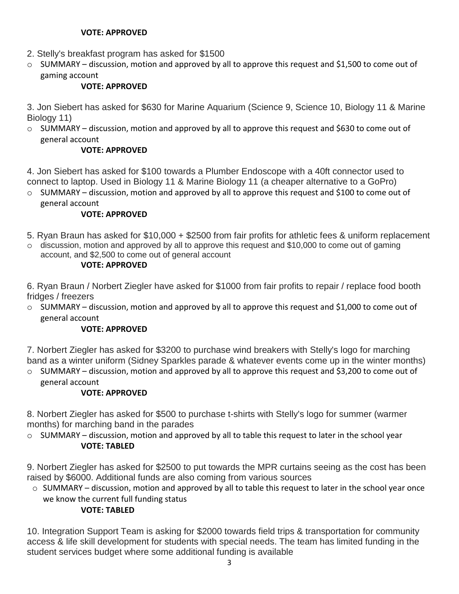#### **VOTE: APPROVED**

- 2. Stelly's breakfast program has asked for \$1500
- $\circ$  SUMMARY discussion, motion and approved by all to approve this request and \$1,500 to come out of gaming account

## **VOTE: APPROVED**

3. Jon Siebert has asked for \$630 for Marine Aquarium (Science 9, Science 10, Biology 11 & Marine Biology 11)

 $\circ$  SUMMARY – discussion, motion and approved by all to approve this request and \$630 to come out of general account

## **VOTE: APPROVED**

4. Jon Siebert has asked for \$100 towards a Plumber Endoscope with a 40ft connector used to connect to laptop. Used in Biology 11 & Marine Biology 11 (a cheaper alternative to a GoPro)

 $\circ$  SUMMARY – discussion, motion and approved by all to approve this request and \$100 to come out of general account

## **VOTE: APPROVED**

- 5. Ryan Braun has asked for \$10,000 + \$2500 from fair profits for athletic fees & uniform replacement
- $\circ$  discussion, motion and approved by all to approve this request and \$10,000 to come out of gaming account, and \$2,500 to come out of general account

#### **VOTE: APPROVED**

6. Ryan Braun / Norbert Ziegler have asked for \$1000 from fair profits to repair / replace food booth fridges / freezers

 $\circ$  SUMMARY – discussion, motion and approved by all to approve this request and \$1,000 to come out of general account

#### **VOTE: APPROVED**

7. Norbert Ziegler has asked for \$3200 to purchase wind breakers with Stelly's logo for marching band as a winter uniform (Sidney Sparkles parade & whatever events come up in the winter months)

o SUMMARY – discussion, motion and approved by all to approve this request and \$3,200 to come out of general account

## **VOTE: APPROVED**

8. Norbert Ziegler has asked for \$500 to purchase t-shirts with Stelly's logo for summer (warmer months) for marching band in the parades

 $\circ$  SUMMARY – discussion, motion and approved by all to table this request to later in the school year **VOTE: TABLED**

9. Norbert Ziegler has asked for \$2500 to put towards the MPR curtains seeing as the cost has been raised by \$6000. Additional funds are also coming from various sources

o SUMMARY – discussion, motion and approved by all to table this request to later in the school year once we know the current full funding status

## **VOTE: TABLED**

10. Integration Support Team is asking for \$2000 towards field trips & transportation for community access & life skill development for students with special needs. The team has limited funding in the student services budget where some additional funding is available